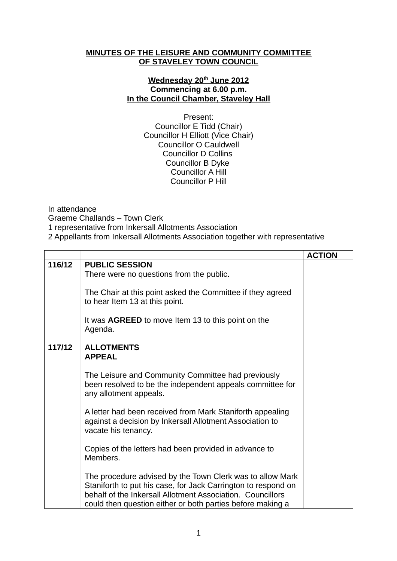## **MINUTES OF THE LEISURE AND COMMUNITY COMMITTEE OF STAVELEY TOWN COUNCIL**

## **Wednesday 20th June 2012 Commencing at 6.00 p.m. In the Council Chamber, Staveley Hall**

Present: Councillor E Tidd (Chair) Councillor H Elliott (Vice Chair) Councillor O Cauldwell Councillor D Collins Councillor B Dyke Councillor A Hill Councillor P Hill

In attendance Graeme Challands – Town Clerk 1 representative from Inkersall Allotments Association 2 Appellants from Inkersall Allotments Association together with representative

|        |                                                                                                                                                                                                                                                        | <b>ACTION</b> |
|--------|--------------------------------------------------------------------------------------------------------------------------------------------------------------------------------------------------------------------------------------------------------|---------------|
| 116/12 | <b>PUBLIC SESSION</b><br>There were no questions from the public.                                                                                                                                                                                      |               |
|        | The Chair at this point asked the Committee if they agreed<br>to hear Item 13 at this point.                                                                                                                                                           |               |
|        | It was <b>AGREED</b> to move Item 13 to this point on the<br>Agenda.                                                                                                                                                                                   |               |
| 117/12 | <b>ALLOTMENTS</b><br><b>APPEAL</b>                                                                                                                                                                                                                     |               |
|        | The Leisure and Community Committee had previously<br>been resolved to be the independent appeals committee for<br>any allotment appeals.                                                                                                              |               |
|        | A letter had been received from Mark Staniforth appealing<br>against a decision by Inkersall Allotment Association to<br>vacate his tenancy.                                                                                                           |               |
|        | Copies of the letters had been provided in advance to<br>Members.                                                                                                                                                                                      |               |
|        | The procedure advised by the Town Clerk was to allow Mark<br>Staniforth to put his case, for Jack Carrington to respond on<br>behalf of the Inkersall Allotment Association. Councillors<br>could then question either or both parties before making a |               |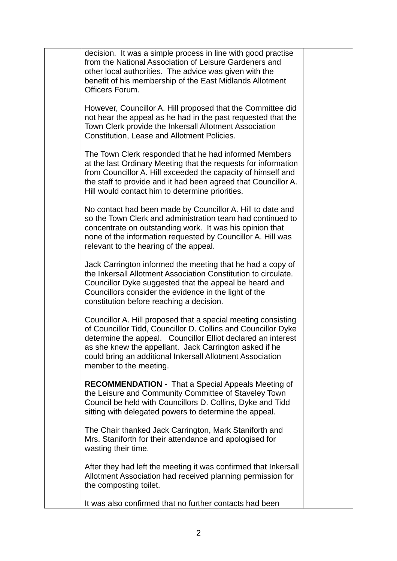|  | decision. It was a simple process in line with good practise<br>from the National Association of Leisure Gardeners and<br>other local authorities. The advice was given with the<br>benefit of his membership of the East Midlands Allotment<br>Officers Forum.                                                                                 |  |
|--|-------------------------------------------------------------------------------------------------------------------------------------------------------------------------------------------------------------------------------------------------------------------------------------------------------------------------------------------------|--|
|  | However, Councillor A. Hill proposed that the Committee did<br>not hear the appeal as he had in the past requested that the<br>Town Clerk provide the Inkersall Allotment Association<br>Constitution, Lease and Allotment Policies.                                                                                                            |  |
|  | The Town Clerk responded that he had informed Members<br>at the last Ordinary Meeting that the requests for information<br>from Councillor A. Hill exceeded the capacity of himself and<br>the staff to provide and it had been agreed that Councillor A.<br>Hill would contact him to determine priorities.                                    |  |
|  | No contact had been made by Councillor A. Hill to date and<br>so the Town Clerk and administration team had continued to<br>concentrate on outstanding work. It was his opinion that<br>none of the information requested by Councillor A. Hill was<br>relevant to the hearing of the appeal.                                                   |  |
|  | Jack Carrington informed the meeting that he had a copy of<br>the Inkersall Allotment Association Constitution to circulate.<br>Councillor Dyke suggested that the appeal be heard and<br>Councillors consider the evidence in the light of the<br>constitution before reaching a decision.                                                     |  |
|  | Councillor A. Hill proposed that a special meeting consisting<br>of Councillor Tidd, Councillor D. Collins and Councillor Dyke<br>determine the appeal. Councillor Elliot declared an interest<br>as she knew the appellant. Jack Carrington asked if he<br>could bring an additional Inkersall Allotment Association<br>member to the meeting. |  |
|  | <b>RECOMMENDATION</b> - That a Special Appeals Meeting of<br>the Leisure and Community Committee of Staveley Town<br>Council be held with Councillors D. Collins, Dyke and Tidd<br>sitting with delegated powers to determine the appeal.                                                                                                       |  |
|  | The Chair thanked Jack Carrington, Mark Staniforth and<br>Mrs. Staniforth for their attendance and apologised for<br>wasting their time.                                                                                                                                                                                                        |  |
|  | After they had left the meeting it was confirmed that Inkersall<br>Allotment Association had received planning permission for<br>the composting toilet.                                                                                                                                                                                         |  |
|  | It was also confirmed that no further contacts had been                                                                                                                                                                                                                                                                                         |  |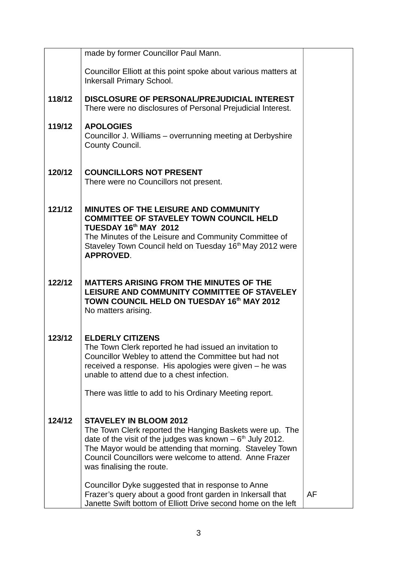|        | made by former Councillor Paul Mann.                                                                                                                                                                                                                                                                         |    |
|--------|--------------------------------------------------------------------------------------------------------------------------------------------------------------------------------------------------------------------------------------------------------------------------------------------------------------|----|
|        | Councillor Elliott at this point spoke about various matters at<br>Inkersall Primary School.                                                                                                                                                                                                                 |    |
| 118/12 | DISCLOSURE OF PERSONAL/PREJUDICIAL INTEREST<br>There were no disclosures of Personal Prejudicial Interest.                                                                                                                                                                                                   |    |
| 119/12 | <b>APOLOGIES</b><br>Councillor J. Williams – overrunning meeting at Derbyshire<br>County Council.                                                                                                                                                                                                            |    |
| 120/12 | <b>COUNCILLORS NOT PRESENT</b><br>There were no Councillors not present.                                                                                                                                                                                                                                     |    |
| 121/12 | MINUTES OF THE LEISURE AND COMMUNITY<br><b>COMMITTEE OF STAVELEY TOWN COUNCIL HELD</b><br>TUESDAY 16th MAY 2012                                                                                                                                                                                              |    |
|        | The Minutes of the Leisure and Community Committee of<br>Staveley Town Council held on Tuesday 16 <sup>th</sup> May 2012 were<br><b>APPROVED.</b>                                                                                                                                                            |    |
| 122/12 | <b>MATTERS ARISING FROM THE MINUTES OF THE</b><br>LEISURE AND COMMUNITY COMMITTEE OF STAVELEY<br>TOWN COUNCIL HELD ON TUESDAY 16th MAY 2012<br>No matters arising.                                                                                                                                           |    |
| 123/12 | <b>ELDERLY CITIZENS</b><br>The Town Clerk reported he had issued an invitation to<br>Councillor Webley to attend the Committee but had not<br>received a response. His apologies were given – he was<br>unable to attend due to a chest infection.                                                           |    |
|        | There was little to add to his Ordinary Meeting report.                                                                                                                                                                                                                                                      |    |
| 124/12 | <b>STAVELEY IN BLOOM 2012</b><br>The Town Clerk reported the Hanging Baskets were up. The<br>date of the visit of the judges was known $-6th$ July 2012.<br>The Mayor would be attending that morning. Staveley Town<br>Council Councillors were welcome to attend. Anne Frazer<br>was finalising the route. |    |
|        | Councillor Dyke suggested that in response to Anne<br>Frazer's query about a good front garden in Inkersall that<br>Janette Swift bottom of Elliott Drive second home on the left                                                                                                                            | AF |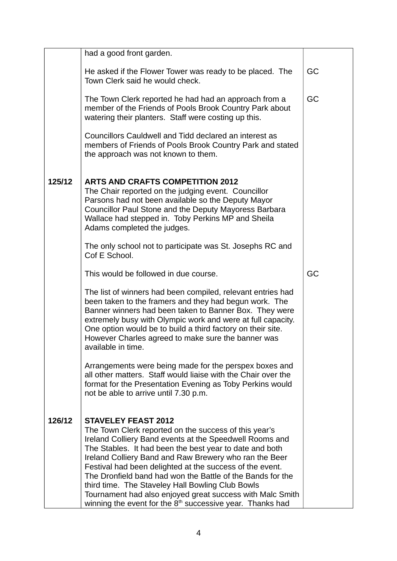|        | had a good front garden.                                                                                                                                                                                                                                                                                                                                                                                                                                                                                                                                                      |    |
|--------|-------------------------------------------------------------------------------------------------------------------------------------------------------------------------------------------------------------------------------------------------------------------------------------------------------------------------------------------------------------------------------------------------------------------------------------------------------------------------------------------------------------------------------------------------------------------------------|----|
|        | He asked if the Flower Tower was ready to be placed. The<br>Town Clerk said he would check.                                                                                                                                                                                                                                                                                                                                                                                                                                                                                   | GC |
|        | The Town Clerk reported he had had an approach from a<br>member of the Friends of Pools Brook Country Park about<br>watering their planters. Staff were costing up this.                                                                                                                                                                                                                                                                                                                                                                                                      | GC |
|        | Councillors Cauldwell and Tidd declared an interest as<br>members of Friends of Pools Brook Country Park and stated<br>the approach was not known to them.                                                                                                                                                                                                                                                                                                                                                                                                                    |    |
| 125/12 | <b>ARTS AND CRAFTS COMPETITION 2012</b><br>The Chair reported on the judging event. Councillor<br>Parsons had not been available so the Deputy Mayor<br>Councillor Paul Stone and the Deputy Mayoress Barbara<br>Wallace had stepped in. Toby Perkins MP and Sheila<br>Adams completed the judges.                                                                                                                                                                                                                                                                            |    |
|        | The only school not to participate was St. Josephs RC and<br>Cof E School.                                                                                                                                                                                                                                                                                                                                                                                                                                                                                                    |    |
|        | This would be followed in due course.                                                                                                                                                                                                                                                                                                                                                                                                                                                                                                                                         | GC |
|        | The list of winners had been compiled, relevant entries had<br>been taken to the framers and they had begun work. The<br>Banner winners had been taken to Banner Box. They were<br>extremely busy with Olympic work and were at full capacity.<br>One option would be to build a third factory on their site.<br>However Charles agreed to make sure the banner was<br>available in time.                                                                                                                                                                                     |    |
|        | Arrangements were being made for the perspex boxes and<br>all other matters. Staff would liaise with the Chair over the<br>format for the Presentation Evening as Toby Perkins would<br>not be able to arrive until 7.30 p.m.                                                                                                                                                                                                                                                                                                                                                 |    |
| 126/12 | <b>STAVELEY FEAST 2012</b><br>The Town Clerk reported on the success of this year's<br>Ireland Colliery Band events at the Speedwell Rooms and<br>The Stables. It had been the best year to date and both<br>Ireland Colliery Band and Raw Brewery who ran the Beer<br>Festival had been delighted at the success of the event.<br>The Dronfield band had won the Battle of the Bands for the<br>third time. The Staveley Hall Bowling Club Bowls<br>Tournament had also enjoyed great success with Malc Smith<br>winning the event for the $8th$ successive year. Thanks had |    |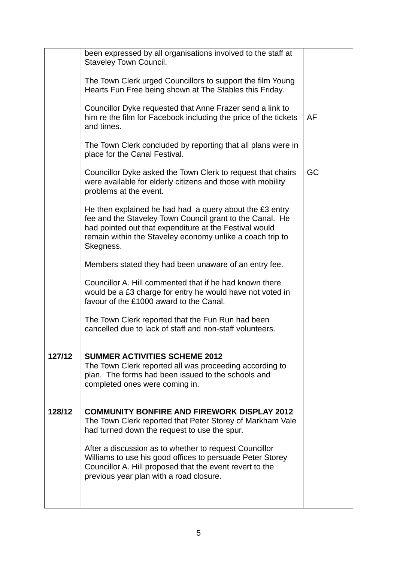|        | been expressed by all organisations involved to the staff at<br>Staveley Town Council.                                                                                                                                                                  |    |
|--------|---------------------------------------------------------------------------------------------------------------------------------------------------------------------------------------------------------------------------------------------------------|----|
|        | The Town Clerk urged Councillors to support the film Young<br>Hearts Fun Free being shown at The Stables this Friday.                                                                                                                                   |    |
|        | Councillor Dyke requested that Anne Frazer send a link to<br>him re the film for Facebook including the price of the tickets<br>and times.                                                                                                              | AF |
|        | The Town Clerk concluded by reporting that all plans were in<br>place for the Canal Festival.                                                                                                                                                           |    |
|        | Councillor Dyke asked the Town Clerk to request that chairs<br>were available for elderly citizens and those with mobility<br>problems at the event.                                                                                                    | GC |
|        | He then explained he had had a query about the £3 entry<br>fee and the Staveley Town Council grant to the Canal. He<br>had pointed out that expenditure at the Festival would<br>remain within the Staveley economy unlike a coach trip to<br>Skegness. |    |
|        | Members stated they had been unaware of an entry fee.                                                                                                                                                                                                   |    |
|        | Councillor A. Hill commented that if he had known there<br>would be a £3 charge for entry he would have not voted in<br>favour of the £1000 award to the Canal.                                                                                         |    |
|        | The Town Clerk reported that the Fun Run had been<br>cancelled due to lack of staff and non-staff volunteers.                                                                                                                                           |    |
| 127/12 | <b>SUMMER ACTIVITIES SCHEME 2012</b><br>The Town Clerk reported all was proceeding according to<br>plan. The forms had been issued to the schools and<br>completed ones were coming in.                                                                 |    |
| 128/12 | <b>COMMUNITY BONFIRE AND FIREWORK DISPLAY 2012</b><br>The Town Clerk reported that Peter Storey of Markham Vale<br>had turned down the request to use the spur.                                                                                         |    |
|        | After a discussion as to whether to request Councillor<br>Williams to use his good offices to persuade Peter Storey<br>Councillor A. Hill proposed that the event revert to the<br>previous year plan with a road closure.                              |    |
|        |                                                                                                                                                                                                                                                         |    |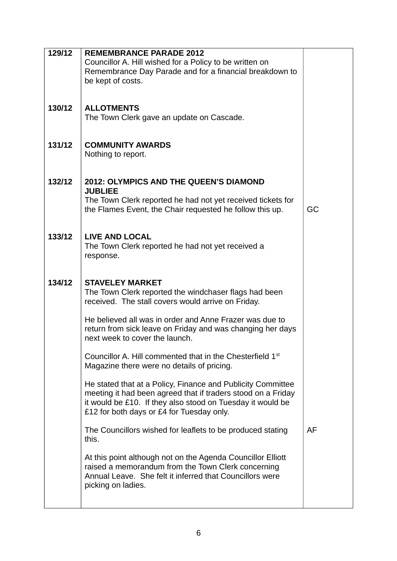| 129/12 | <b>REMEMBRANCE PARADE 2012</b>                                                                                          |    |
|--------|-------------------------------------------------------------------------------------------------------------------------|----|
|        | Councillor A. Hill wished for a Policy to be written on                                                                 |    |
|        | Remembrance Day Parade and for a financial breakdown to                                                                 |    |
|        | be kept of costs.                                                                                                       |    |
|        |                                                                                                                         |    |
|        |                                                                                                                         |    |
| 130/12 | <b>ALLOTMENTS</b>                                                                                                       |    |
|        | The Town Clerk gave an update on Cascade.                                                                               |    |
|        |                                                                                                                         |    |
|        |                                                                                                                         |    |
| 131/12 | <b>COMMUNITY AWARDS</b>                                                                                                 |    |
|        | Nothing to report.                                                                                                      |    |
|        |                                                                                                                         |    |
|        |                                                                                                                         |    |
| 132/12 | <b>2012: OLYMPICS AND THE QUEEN'S DIAMOND</b>                                                                           |    |
|        | <b>JUBLIEE</b>                                                                                                          |    |
|        | The Town Clerk reported he had not yet received tickets for<br>the Flames Event, the Chair requested he follow this up. | GC |
|        |                                                                                                                         |    |
|        |                                                                                                                         |    |
| 133/12 | <b>LIVE AND LOCAL</b>                                                                                                   |    |
|        | The Town Clerk reported he had not yet received a                                                                       |    |
|        | response.                                                                                                               |    |
|        |                                                                                                                         |    |
|        |                                                                                                                         |    |
| 134/12 | <b>STAVELEY MARKET</b>                                                                                                  |    |
|        | The Town Clerk reported the windchaser flags had been                                                                   |    |
|        | received. The stall covers would arrive on Friday.                                                                      |    |
|        | He believed all was in order and Anne Frazer was due to                                                                 |    |
|        | return from sick leave on Friday and was changing her days                                                              |    |
|        | next week to cover the launch.                                                                                          |    |
|        |                                                                                                                         |    |
|        | Councillor A. Hill commented that in the Chesterfield 1 <sup>st</sup>                                                   |    |
|        | Magazine there were no details of pricing.                                                                              |    |
|        |                                                                                                                         |    |
|        | He stated that at a Policy, Finance and Publicity Committee                                                             |    |
|        | meeting it had been agreed that if traders stood on a Friday                                                            |    |
|        | it would be £10. If they also stood on Tuesday it would be                                                              |    |
|        | £12 for both days or £4 for Tuesday only.                                                                               |    |
|        |                                                                                                                         | AF |
|        | The Councillors wished for leaflets to be produced stating<br>this.                                                     |    |
|        |                                                                                                                         |    |
|        | At this point although not on the Agenda Councillor Elliott                                                             |    |
|        | raised a memorandum from the Town Clerk concerning                                                                      |    |
|        | Annual Leave. She felt it inferred that Councillors were                                                                |    |
|        | picking on ladies.                                                                                                      |    |
|        |                                                                                                                         |    |
|        |                                                                                                                         |    |